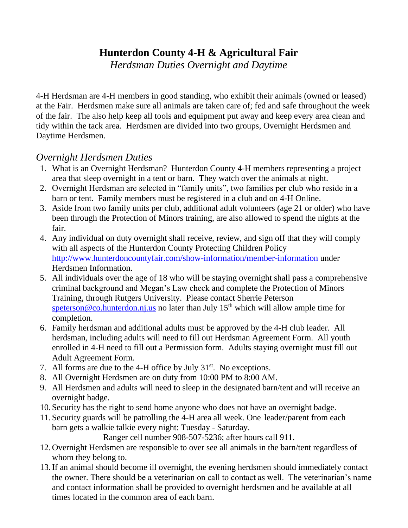## **Hunterdon County 4-H & Agricultural Fair**

*Herdsman Duties Overnight and Daytime*

4-H Herdsman are 4-H members in good standing, who exhibit their animals (owned or leased) at the Fair. Herdsmen make sure all animals are taken care of; fed and safe throughout the week of the fair. The also help keep all tools and equipment put away and keep every area clean and tidy within the tack area. Herdsmen are divided into two groups, Overnight Herdsmen and Daytime Herdsmen.

## *Overnight Herdsmen Duties*

- 1. What is an Overnight Herdsman? Hunterdon County 4-H members representing a project area that sleep overnight in a tent or barn. They watch over the animals at night.
- 2. Overnight Herdsman are selected in "family units", two families per club who reside in a barn or tent. Family members must be registered in a club and on 4-H Online.
- 3. Aside from two family units per club, additional adult volunteers (age 21 or older) who have been through the Protection of Minors training, are also allowed to spend the nights at the fair.
- 4. Any individual on duty overnight shall receive, review, and sign off that they will comply with all aspects of the Hunterdon County Protecting Children Policy <http://www.hunterdoncountyfair.com/show-information/member-information> under Herdsmen Information.
- 5. All individuals over the age of 18 who will be staying overnight shall pass a comprehensive criminal background and Megan's Law check and complete the Protection of Minors Training, through Rutgers University. Please contact Sherrie Peterson [speterson@co.hunterdon.nj.us](mailto:speterson@co.hunterdon.nj.us) no later than July  $15<sup>th</sup>$  which will allow ample time for completion.
- 6. Family herdsman and additional adults must be approved by the 4-H club leader. All herdsman, including adults will need to fill out Herdsman Agreement Form. All youth enrolled in 4-H need to fill out a Permission form. Adults staying overnight must fill out Adult Agreement Form.
- 7. All forms are due to the 4-H office by July  $31<sup>st</sup>$ . No exceptions.
- 8. All Overnight Herdsmen are on duty from 10:00 PM to 8:00 AM.
- 9. All Herdsmen and adults will need to sleep in the designated barn/tent and will receive an overnight badge.
- 10. Security has the right to send home anyone who does not have an overnight badge.
- 11. Security guards will be patrolling the 4-H area all week. One leader/parent from each barn gets a walkie talkie every night: Tuesday - Saturday.

Ranger cell number 908-507-5236; after hours call 911.

- 12.Overnight Herdsmen are responsible to over see all animals in the barn/tent regardless of whom they belong to.
- 13.If an animal should become ill overnight, the evening herdsmen should immediately contact the owner. There should be a veterinarian on call to contact as well. The veterinarian's name and contact information shall be provided to overnight herdsmen and be available at all times located in the common area of each barn.